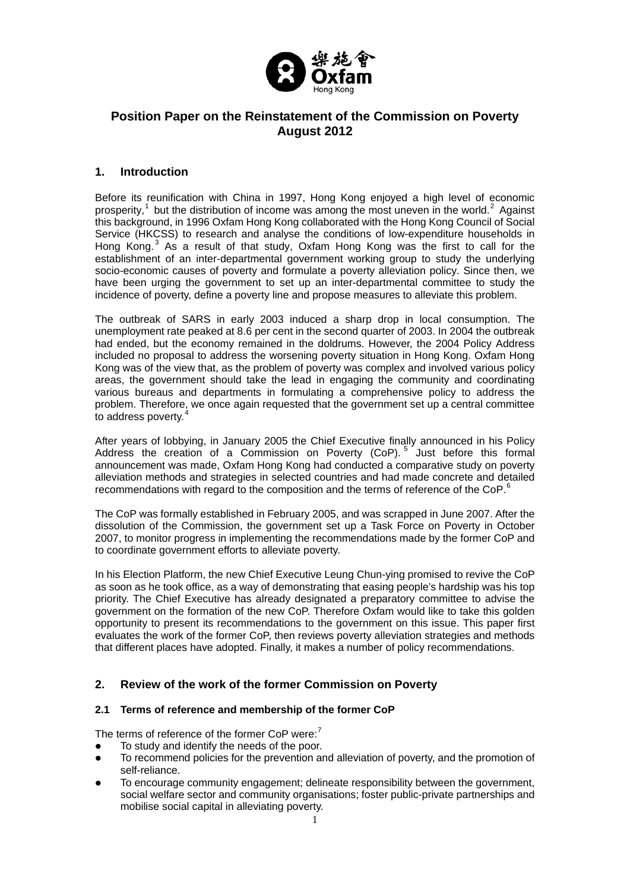

# **Position Paper on the Reinstatement of the Commission on Poverty August 2012**

# **1. Introduction**

Before its reunification with China in 1997, Hong Kong enjoyed a high level of economic prosperity,<sup>[1](#page-7-0)</sup> but the distribution of income was among the most uneven in the world.<sup>[2](#page-7-1)</sup> Against this background, in 1996 Oxfam Hong Kong collaborated with the Hong Kong Council of Social Service (HKCSS) to research and analyse the conditions of low-expenditure households in Hong Kong.<sup>[3](#page-7-2)</sup> As a result of that study, Oxfam Hong Kong was the first to call for the establishment of an inter-departmental government working group to study the underlying socio-economic causes of poverty and formulate a poverty alleviation policy. Since then, we have been urging the government to set up an inter-departmental committee to study the incidence of poverty, define a poverty line and propose measures to alleviate this problem.

The outbreak of SARS in early 2003 induced a sharp drop in local consumption. The unemployment rate peaked at 8.6 per cent in the second quarter of 2003. In 2004 the outbreak had ended, but the economy remained in the doldrums. However, the 2004 Policy Address included no proposal to address the worsening poverty situation in Hong Kong. Oxfam Hong Kong was of the view that, as the problem of poverty was complex and involved various policy areas, the government should take the lead in engaging the community and coordinating various bureaus and departments in formulating a comprehensive policy to address the problem. Therefore, we once again requested that the government set up a central committee to address poverty.

After years of lobbying, in January 2005 the Chief Executive finally announced in his Policy Address the creation of a Commission on Poverty (CoP).<sup>[5](#page-7-4)</sup> Just before this formal announcement was made, Oxfam Hong Kong had conducted a comparative study on poverty alleviation methods and strategies in selected countries and had made concrete and detailed recommendations with regard to the composition and the terms of reference of the CoP.<sup>[6](#page-7-5)</sup>

The CoP was formally established in February 2005, and was scrapped in June 2007. After the dissolution of the Commission, the government set up a Task Force on Poverty in October 2007, to monitor progress in implementing the recommendations made by the former CoP and to coordinate government efforts to alleviate poverty.

In his Election Platform, the new Chief Executive Leung Chun-ying promised to revive the CoP as soon as he took office, as a way of demonstrating that easing people's hardship was his top priority. The Chief Executive has already designated a preparatory committee to advise the government on the formation of the new CoP. Therefore Oxfam would like to take this golden opportunity to present its recommendations to the government on this issue. This paper first evaluates the work of the former CoP, then reviews poverty alleviation strategies and methods that different places have adopted. Finally, it makes a number of policy recommendations.

# **2. Review of the work of the former Commission on Poverty**

## **2.1 Terms of reference and membership of the former CoP**

The terms of reference of the former CoP were:<sup>[7](#page-7-6)</sup>

- To study and identify the needs of the poor.
- To recommend policies for the prevention and alleviation of poverty, and the promotion of self-reliance.
- To encourage community engagement; delineate responsibility between the government, social welfare sector and community organisations; foster public-private partnerships and mobilise social capital in alleviating poverty.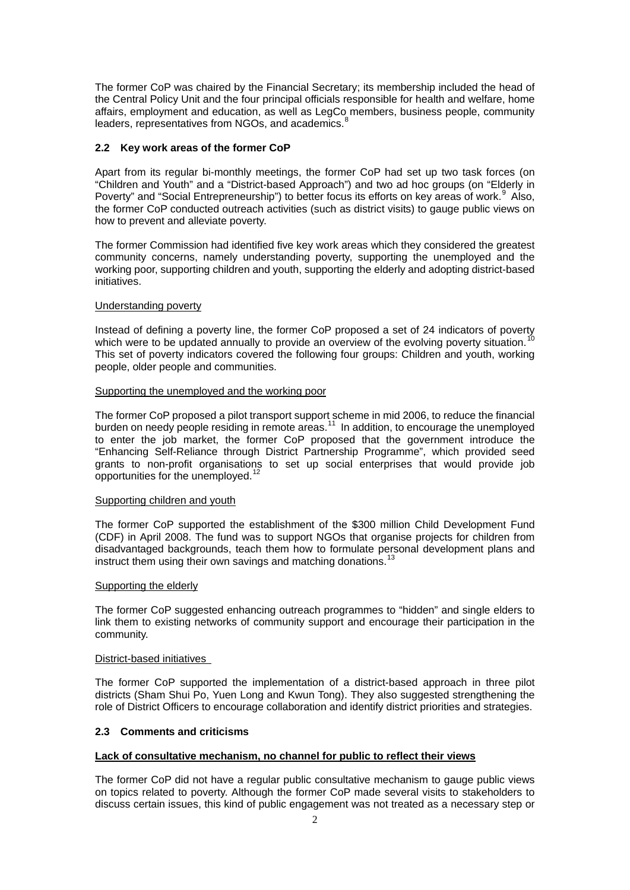The former CoP was chaired by the Financial Secretary; its membership included the head of the Central Policy Unit and the four principal officials responsible for health and welfare, home affairs, employment and education, as well as LegCo members, business people, community leaders, representatives from NGOs, and academics.<sup>[8](#page-7-7)</sup>

### **2.2 Key work areas of the former CoP**

Apart from its regular bi-monthly meetings, the former CoP had set up two task forces (on "Children and Youth" and a "District-based Approach") and two ad hoc groups (on "Elderly in Poverty" and "Social Entrepreneurship") to better focus its efforts on key areas of work.<sup>[9](#page-7-8)</sup> Also, the former CoP conducted outreach activities (such as district visits) to gauge public views on how to prevent and alleviate poverty.

The former Commission had identified five key work areas which they considered the greatest community concerns, namely understanding poverty, supporting the unemployed and the working poor, supporting children and youth, supporting the elderly and adopting district-based initiatives.

#### Understanding poverty

Instead of defining a poverty line, the former CoP proposed a set of 24 indicators of poverty<br>which were to be undated appually to provide an evention of the evolving poverty situation.<sup>[10](#page-7-9)</sup> which were to be updated annually to provide an overview of the evolving poverty situation.<sup>1</sup> This set of poverty indicators covered the following four groups: Children and youth, working people, older people and communities.

#### Supporting the unemployed and the working poor

The former CoP proposed a pilot transport support scheme in mid 2006, to reduce the financial burden on needy people residing in remote areas.<sup>[11](#page-7-10)</sup> In addition, to encourage the unemployed to enter the job market, the former CoP proposed that the government introduce the "Enhancing Self-Reliance through District Partnership Programme", which provided seed grants to non-profit organisations to set up social enterprises that would provide job opportunities for the unemployed.<sup>[12](#page-7-11)</sup>

#### Supporting children and youth

The former CoP supported the establishment of the \$300 million Child Development Fund (CDF) in April 2008. The fund was to support NGOs that organise projects for children from disadvantaged backgrounds, teach them how to formulate personal development plans and instruct them using their own savings and matching donations.<sup>[13](#page-7-12)</sup>

#### Supporting the elderly

The former CoP suggested enhancing outreach programmes to "hidden" and single elders to link them to existing networks of community support and encourage their participation in the community.

#### District-based initiatives

The former CoP supported the implementation of a district-based approach in three pilot districts (Sham Shui Po, Yuen Long and Kwun Tong). They also suggested strengthening the role of District Officers to encourage collaboration and identify district priorities and strategies.

#### **2.3 Comments and criticisms**

#### **Lack of consultative mechanism, no channel for public to reflect their views**

The former CoP did not have a regular public consultative mechanism to gauge public views on topics related to poverty. Although the former CoP made several visits to stakeholders to discuss certain issues, this kind of public engagement was not treated as a necessary step or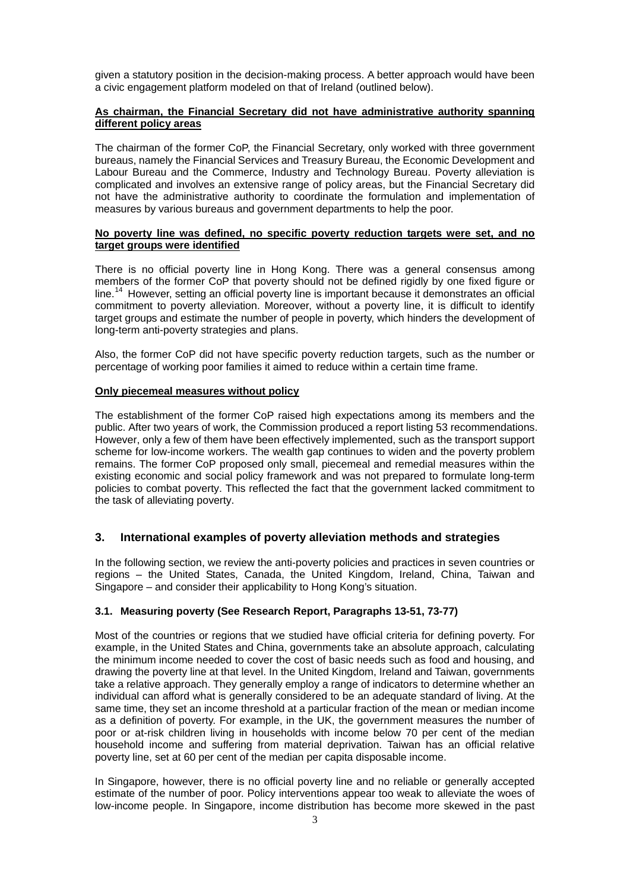given a statutory position in the decision-making process. A better approach would have been a civic engagement platform modeled on that of Ireland (outlined below).

### **As chairman, the Financial Secretary did not have administrative authority spanning different policy areas**

The chairman of the former CoP, the Financial Secretary, only worked with three government bureaus, namely the Financial Services and Treasury Bureau, the Economic Development and Labour Bureau and the Commerce, Industry and Technology Bureau. Poverty alleviation is complicated and involves an extensive range of policy areas, but the Financial Secretary did not have the administrative authority to coordinate the formulation and implementation of measures by various bureaus and government departments to help the poor.

#### **No poverty line was defined, no specific poverty reduction targets were set, and no target groups were identified**

There is no official poverty line in Hong Kong. There was a general consensus among members of the former CoP that poverty should not be defined rigidly by one fixed figure or line.<sup>[14](#page-7-13)</sup> However, setting an official poverty line is important because it demonstrates an official commitment to poverty alleviation. Moreover, without a poverty line, it is difficult to identify target groups and estimate the number of people in poverty, which hinders the development of long-term anti-poverty strategies and plans.

Also, the former CoP did not have specific poverty reduction targets, such as the number or percentage of working poor families it aimed to reduce within a certain time frame.

#### **Only piecemeal measures without policy**

The establishment of the former CoP raised high expectations among its members and the public. After two years of work, the Commission produced a report listing 53 recommendations. However, only a few of them have been effectively implemented, such as the transport support scheme for low-income workers. The wealth gap continues to widen and the poverty problem remains. The former CoP proposed only small, piecemeal and remedial measures within the existing economic and social policy framework and was not prepared to formulate long-term policies to combat poverty. This reflected the fact that the government lacked commitment to the task of alleviating poverty.

#### **3. International examples of poverty alleviation methods and strategies**

In the following section, we review the anti-poverty policies and practices in seven countries or regions – the United States, Canada, the United Kingdom, Ireland, China, Taiwan and Singapore – and consider their applicability to Hong Kong's situation.

#### **3.1. Measuring poverty (See Research Report, Paragraphs 13-51, 73-77)**

Most of the countries or regions that we studied have official criteria for defining poverty. For example, in the United States and China, governments take an absolute approach, calculating the minimum income needed to cover the cost of basic needs such as food and housing, and drawing the poverty line at that level. In the United Kingdom, Ireland and Taiwan, governments take a relative approach. They generally employ a range of indicators to determine whether an individual can afford what is generally considered to be an adequate standard of living. At the same time, they set an income threshold at a particular fraction of the mean or median income as a definition of poverty. For example, in the UK, the government measures the number of poor or at-risk children living in households with income below 70 per cent of the median household income and suffering from material deprivation. Taiwan has an official relative poverty line, set at 60 per cent of the median per capita disposable income.

In Singapore, however, there is no official poverty line and no reliable or generally accepted estimate of the number of poor. Policy interventions appear too weak to alleviate the woes of low-income people. In Singapore, income distribution has become more skewed in the past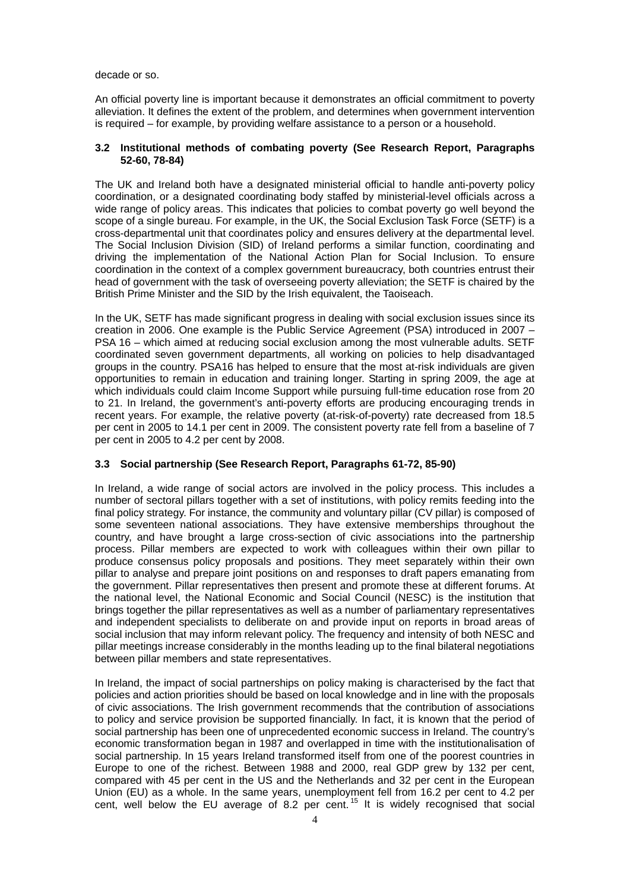decade or so.

An official poverty line is important because it demonstrates an official commitment to poverty alleviation. It defines the extent of the problem, and determines when government intervention is required – for example, by providing welfare assistance to a person or a household.

### **3.2 Institutional methods of combating poverty (See Research Report, Paragraphs 52-60, 78-84)**

The UK and Ireland both have a designated ministerial official to handle anti-poverty policy coordination, or a designated coordinating body staffed by ministerial-level officials across a wide range of policy areas. This indicates that policies to combat poverty go well beyond the scope of a single bureau. For example, in the UK, the Social Exclusion Task Force (SETF) is a cross-departmental unit that coordinates policy and ensures delivery at the departmental level. The Social Inclusion Division (SID) of Ireland performs a similar function, coordinating and driving the implementation of the National Action Plan for Social Inclusion. To ensure coordination in the context of a complex government bureaucracy, both countries entrust their head of government with the task of overseeing poverty alleviation; the SETF is chaired by the British Prime Minister and the SID by the Irish equivalent, the Taoiseach.

In the UK, SETF has made significant progress in dealing with social exclusion issues since its creation in 2006. One example is the Public Service Agreement (PSA) introduced in 2007 – PSA 16 – which aimed at reducing social exclusion among the most vulnerable adults. SETF coordinated seven government departments, all working on policies to help disadvantaged groups in the country. PSA16 has helped to ensure that the most at-risk individuals are given opportunities to remain in education and training longer. Starting in spring 2009, the age at which individuals could claim Income Support while pursuing full-time education rose from 20 to 21. In Ireland, the government's anti-poverty efforts are producing encouraging trends in recent years. For example, the relative poverty (at-risk-of-poverty) rate decreased from 18.5 per cent in 2005 to 14.1 per cent in 2009. The consistent poverty rate fell from a baseline of 7 per cent in 2005 to 4.2 per cent by 2008.

## **3.3 Social partnership (See Research Report, Paragraphs 61-72, 85-90)**

In Ireland, a wide range of social actors are involved in the policy process. This includes a number of sectoral pillars together with a set of institutions, with policy remits feeding into the final policy strategy. For instance, the community and voluntary pillar (CV pillar) is composed of some seventeen national associations. They have extensive memberships throughout the country, and have brought a large cross-section of civic associations into the partnership process. Pillar members are expected to work with colleagues within their own pillar to produce consensus policy proposals and positions. They meet separately within their own pillar to analyse and prepare joint positions on and responses to draft papers emanating from the government. Pillar representatives then present and promote these at different forums. At the national level, the National Economic and Social Council (NESC) is the institution that brings together the pillar representatives as well as a number of parliamentary representatives and independent specialists to deliberate on and provide input on reports in broad areas of social inclusion that may inform relevant policy. The frequency and intensity of both NESC and pillar meetings increase considerably in the months leading up to the final bilateral negotiations between pillar members and state representatives.

In Ireland, the impact of social partnerships on policy making is characterised by the fact that policies and action priorities should be based on local knowledge and in line with the proposals of civic associations. The Irish government recommends that the contribution of associations to policy and service provision be supported financially. In fact, it is known that the period of social partnership has been one of unprecedented economic success in Ireland. The country's economic transformation began in 1987 and overlapped in time with the institutionalisation of social partnership. In 15 years Ireland transformed itself from one of the poorest countries in Europe to one of the richest. Between 1988 and 2000, real GDP grew by 132 per cent, compared with 45 per cent in the US and the Netherlands and 32 per cent in the European Union (EU) as a whole. In the same years, unemployment fell from 16.2 per cent to 4.2 per cent, well below the EU average of 8.2 per cent.<sup>[15](#page-7-14)</sup> It is widely recognised that social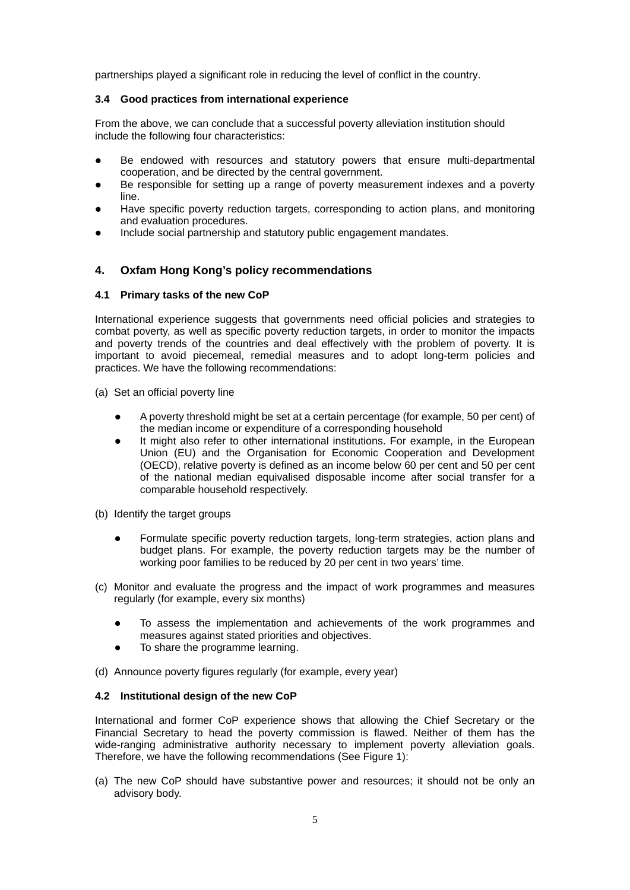partnerships played a significant role in reducing the level of conflict in the country.

### **3.4 Good practices from international experience**

From the above, we can conclude that a successful poverty alleviation institution should include the following four characteristics:

- Be endowed with resources and statutory powers that ensure multi-departmental cooperation, and be directed by the central government.
- Be responsible for setting up a range of poverty measurement indexes and a poverty line.
- Have specific poverty reduction targets, corresponding to action plans, and monitoring and evaluation procedures.
- Include social partnership and statutory public engagement mandates.

## **4. Oxfam Hong Kong's policy recommendations**

#### **4.1 Primary tasks of the new CoP**

International experience suggests that governments need official policies and strategies to combat poverty, as well as specific poverty reduction targets, in order to monitor the impacts and poverty trends of the countries and deal effectively with the problem of poverty. It is important to avoid piecemeal, remedial measures and to adopt long-term policies and practices. We have the following recommendations:

- (a) Set an official poverty line
	- A poverty threshold might be set at a certain percentage (for example, 50 per cent) of the median income or expenditure of a corresponding household
	- It might also refer to other international institutions. For example, in the European Union (EU) and the Organisation for Economic Cooperation and Development (OECD), relative poverty is defined as an income below 60 per cent and 50 per cent of the national median equivalised disposable income after social transfer for a comparable household respectively.
- (b) Identify the target groups
	- Formulate specific poverty reduction targets, long-term strategies, action plans and budget plans. For example, the poverty reduction targets may be the number of working poor families to be reduced by 20 per cent in two years' time.
- (c) Monitor and evaluate the progress and the impact of work programmes and measures regularly (for example, every six months)
	- To assess the implementation and achievements of the work programmes and measures against stated priorities and objectives.
	- To share the programme learning.
- (d) Announce poverty figures regularly (for example, every year)

### **4.2 Institutional design of the new CoP**

International and former CoP experience shows that allowing the Chief Secretary or the Financial Secretary to head the poverty commission is flawed. Neither of them has the wide-ranging administrative authority necessary to implement poverty alleviation goals. Therefore, we have the following recommendations (See Figure 1):

(a) The new CoP should have substantive power and resources; it should not be only an advisory body.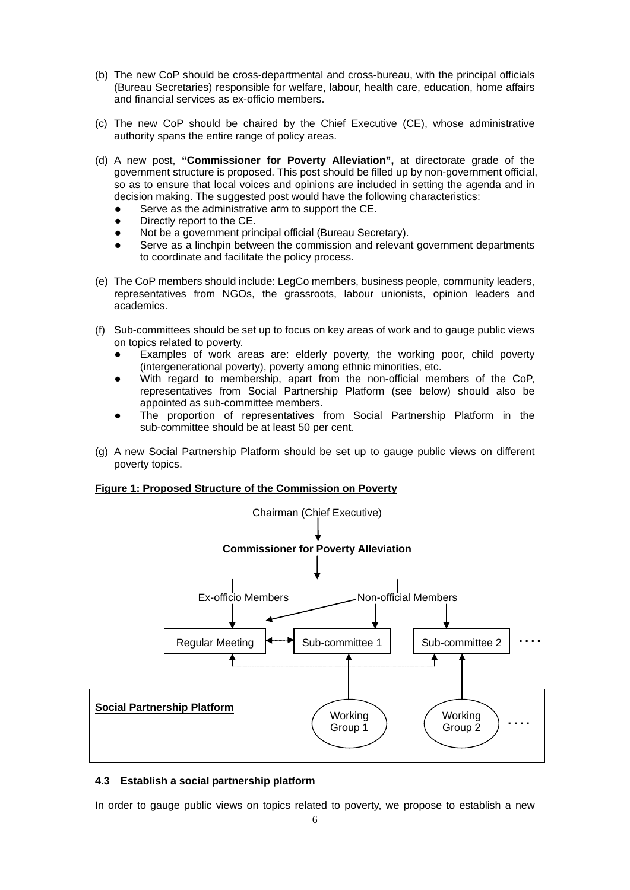- (b) The new CoP should be cross-departmental and cross-bureau, with the principal officials (Bureau Secretaries) responsible for welfare, labour, health care, education, home affairs and financial services as ex-officio members.
- (c) The new CoP should be chaired by the Chief Executive (CE), whose administrative authority spans the entire range of policy areas.
- (d) A new post, **"Commissioner for Poverty Alleviation",** at directorate grade of the government structure is proposed. This post should be filled up by non-government official, so as to ensure that local voices and opinions are included in setting the agenda and in decision making. The suggested post would have the following characteristics:
	- Serve as the administrative arm to support the CE.
	- Directly report to the CE.
	- Not be a government principal official (Bureau Secretary).
	- Serve as a linchpin between the commission and relevant government departments to coordinate and facilitate the policy process.
- (e) The CoP members should include: LegCo members, business people, community leaders, representatives from NGOs, the grassroots, labour unionists, opinion leaders and academics.
- (f) Sub-committees should be set up to focus on key areas of work and to gauge public views on topics related to poverty.
	- Examples of work areas are: elderly poverty, the working poor, child poverty (intergenerational poverty), poverty among ethnic minorities, etc.
	- With regard to membership, apart from the non-official members of the CoP, representatives from Social Partnership Platform (see below) should also be appointed as sub-committee members.
	- The proportion of representatives from Social Partnership Platform in the sub-committee should be at least 50 per cent.
- (g) A new Social Partnership Platform should be set up to gauge public views on different poverty topics.

#### **Figure 1: Proposed Structure of the Commission on Poverty**



#### **4.3 Establish a social partnership platform**

In order to gauge public views on topics related to poverty, we propose to establish a new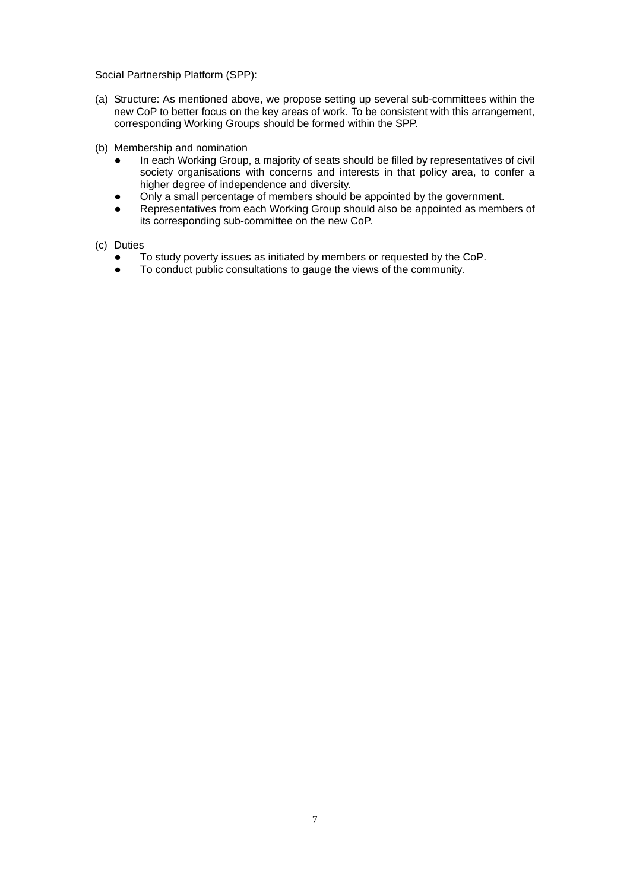Social Partnership Platform (SPP):

- (a) Structure: As mentioned above, we propose setting up several sub-committees within the new CoP to better focus on the key areas of work. To be consistent with this arrangement, corresponding Working Groups should be formed within the SPP.
- (b) Membership and nomination
	- In each Working Group, a majority of seats should be filled by representatives of civil society organisations with concerns and interests in that policy area, to confer a higher degree of independence and diversity.
	- Only a small percentage of members should be appointed by the government.
	- Representatives from each Working Group should also be appointed as members of its corresponding sub-committee on the new CoP.
- (c) Duties
	- To study poverty issues as initiated by members or requested by the CoP.
	- To conduct public consultations to gauge the views of the community.